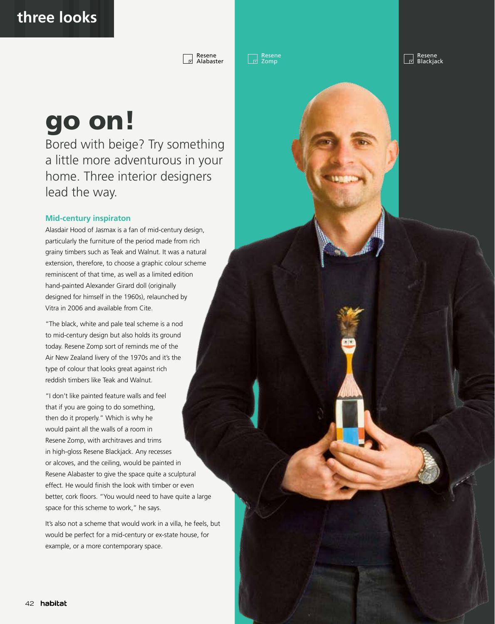Resene Alabaster Resene Zomp

Resene<br>Blackjack  $\overline{5}$ 

## go on!

Bored with beige? Try something a little more adventurous in your home. Three interior designers lead the way.

## **Mid-century inspiraton**

Alasdair Hood of Jasmax is a fan of mid-century design, particularly the furniture of the period made from rich grainy timbers such as Teak and Walnut. It was a natural extension, therefore, to choose a graphic colour scheme reminiscent of that time, as well as a limited edition hand-painted Alexander Girard doll (originally designed for himself in the 1960s), relaunched by Vitra in 2006 and available from Cite.

"The black, white and pale teal scheme is a nod to mid-century design but also holds its ground today. Resene Zomp sort of reminds me of the Air New Zealand livery of the 1970s and it's the type of colour that looks great against rich reddish timbers like Teak and Walnut.

"I don't like painted feature walls and feel that if you are going to do something, then do it properly." Which is why he would paint all the walls of a room in Resene Zomp, with architraves and trims in high-gloss Resene Blackjack. Any recesses or alcoves, and the ceiling, would be painted in Resene Alabaster to give the space quite a sculptural effect. He would finish the look with timber or even better, cork floors. "You would need to have quite a large space for this scheme to work," he says.

It's also not a scheme that would work in a villa, he feels, but would be perfect for a mid-century or ex-state house, for example, or a more contemporary space.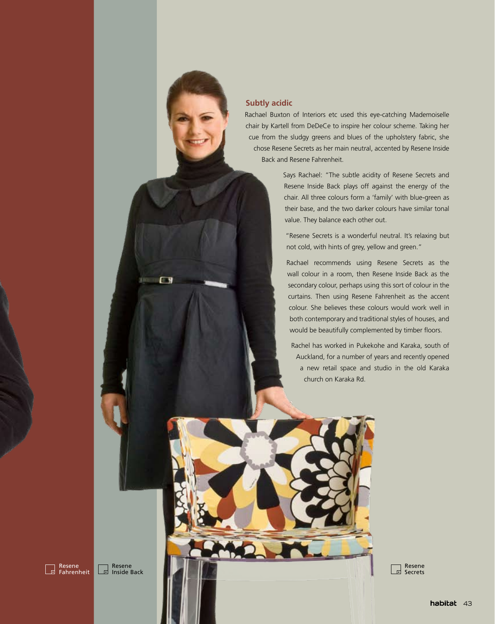

 $\Box$ 

## **Subtly acidic**

Rachael Buxton of Interiors etc used this eye-catching Mademoiselle chair by Kartell from DeDeCe to inspire her colour scheme. Taking her cue from the sludgy greens and blues of the upholstery fabric, she chose Resene Secrets as her main neutral, accented by Resene Inside Back and Resene Fahrenheit.

> Says Rachael: "The subtle acidity of Resene Secrets and Resene Inside Back plays off against the energy of the chair. All three colours form a 'family' with blue-green as their base, and the two darker colours have similar tonal value. They balance each other out.

"Resene Secrets is a wonderful neutral. It's relaxing but not cold, with hints of grey, yellow and green."

Rachael recommends using Resene Secrets as the wall colour in a room, then Resene Inside Back as the secondary colour, perhaps using this sort of colour in the curtains. Then using Resene Fahrenheit as the accent colour. She believes these colours would work well in both contemporary and traditional styles of houses, and would be beautifully complemented by timber floors.

Rachel has worked in Pukekohe and Karaka, south of Auckland, for a number of years and recently opened a new retail space and studio in the old Karaka church on Karaka Rd.



Resene Inside Back Resene Secrets